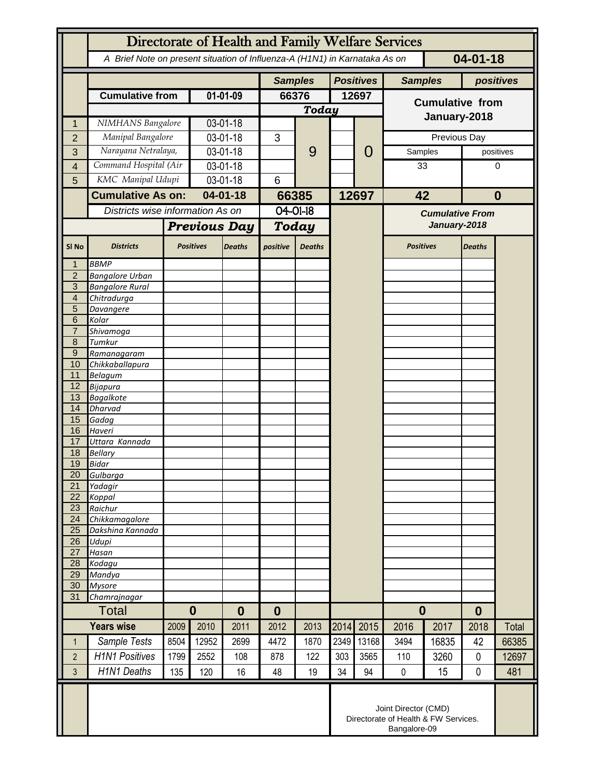|                       | Directorate of Health and Family Welfare Services                                            |             |                                                                              |               |                   |               |       |                  |                                        |              |                  |              |
|-----------------------|----------------------------------------------------------------------------------------------|-------------|------------------------------------------------------------------------------|---------------|-------------------|---------------|-------|------------------|----------------------------------------|--------------|------------------|--------------|
|                       | $04 - 01 - 18$<br>A Brief Note on present situation of Influenza-A (H1N1) in Karnataka As on |             |                                                                              |               |                   |               |       |                  |                                        |              |                  |              |
|                       |                                                                                              |             |                                                                              |               | <b>Samples</b>    |               |       | <b>Positives</b> | <b>Samples</b>                         |              | positives        |              |
|                       | <b>Cumulative from</b>                                                                       |             | 01-01-09                                                                     |               | 66376             |               | 12697 |                  | <b>Cumulative from</b>                 |              |                  |              |
|                       |                                                                                              |             |                                                                              |               |                   | <b>Today</b>  |       |                  | January-2018                           |              |                  |              |
| 1                     | NIMHANS Bangalore                                                                            |             | 03-01-18                                                                     |               |                   |               |       |                  |                                        |              |                  |              |
| $\overline{2}$        | Manipal Bangalore                                                                            |             | 03-01-18                                                                     |               | 3                 |               |       |                  |                                        | Previous Day | positives        |              |
| 3                     | Narayana Netralaya,<br>Command Hospital (Air                                                 |             | 03-01-18                                                                     |               |                   | 9             |       | 0                | Samples                                |              |                  |              |
| 4<br>5                | KMC Manipal Udupi                                                                            |             | 03-01-18<br>03-01-18                                                         |               | 6                 |               |       |                  | 33                                     |              | 0                |              |
|                       | <b>Cumulative As on:</b>                                                                     |             | $04 - 01 - 18$                                                               |               |                   |               |       |                  | 42                                     |              | $\bf{0}$         |              |
|                       | Districts wise information As on                                                             |             |                                                                              |               | 66385<br>04-01-18 |               | 12697 |                  |                                        |              |                  |              |
|                       |                                                                                              |             | <b>Previous Day</b>                                                          |               |                   |               |       |                  | <b>Cumulative From</b><br>January-2018 |              |                  |              |
|                       |                                                                                              |             |                                                                              |               | Today             |               |       |                  |                                        |              |                  |              |
| SI <sub>No</sub>      | <b>Districts</b>                                                                             |             | <b>Positives</b>                                                             | <b>Deaths</b> | positive          | <b>Deaths</b> |       |                  | <b>Positives</b>                       |              | <b>Deaths</b>    |              |
| 1                     | <b>BBMP</b>                                                                                  |             |                                                                              |               |                   |               |       |                  |                                        |              |                  |              |
| $\overline{2}$<br>3   | <b>Bangalore Urban</b><br><b>Bangalore Rural</b>                                             |             |                                                                              |               |                   |               |       |                  |                                        |              |                  |              |
| $\overline{4}$        | Chitradurga                                                                                  |             |                                                                              |               |                   |               |       |                  |                                        |              |                  |              |
| 5                     | Davangere                                                                                    |             |                                                                              |               |                   |               |       |                  |                                        |              |                  |              |
| 6<br>7                | Kolar<br>Shivamoga                                                                           |             |                                                                              |               |                   |               |       |                  |                                        |              |                  |              |
| 8                     | Tumkur                                                                                       |             |                                                                              |               |                   |               |       |                  |                                        |              |                  |              |
| $\overline{9}$        | Ramanagaram                                                                                  |             |                                                                              |               |                   |               |       |                  |                                        |              |                  |              |
| 10<br>11              | Chikkaballapura<br><b>Belagum</b>                                                            |             |                                                                              |               |                   |               |       |                  |                                        |              |                  |              |
| 12                    | <b>Bijapura</b>                                                                              |             |                                                                              |               |                   |               |       |                  |                                        |              |                  |              |
| 13                    | <b>Bagalkote</b>                                                                             |             |                                                                              |               |                   |               |       |                  |                                        |              |                  |              |
| 14                    | <b>Dharvad</b>                                                                               |             |                                                                              |               |                   |               |       |                  |                                        |              |                  |              |
| 15<br>16              | Gadag<br>Haveri                                                                              |             |                                                                              |               |                   |               |       |                  |                                        |              |                  |              |
| 17                    | Uttara Kannada                                                                               |             |                                                                              |               |                   |               |       |                  |                                        |              |                  |              |
| 18                    | <b>Bellary</b>                                                                               |             |                                                                              |               |                   |               |       |                  |                                        |              |                  |              |
| 19                    | Bidar                                                                                        |             |                                                                              |               |                   |               |       |                  |                                        |              |                  |              |
| 20<br>$\overline{21}$ | Gulbarga<br>Yadagir                                                                          |             |                                                                              |               |                   |               |       |                  |                                        |              |                  |              |
| 22                    | Koppal                                                                                       |             |                                                                              |               |                   |               |       |                  |                                        |              |                  |              |
| 23                    | Raichur                                                                                      |             |                                                                              |               |                   |               |       |                  |                                        |              |                  |              |
| 24<br>25              | Chikkamagalore<br>Dakshina Kannada                                                           |             |                                                                              |               |                   |               |       |                  |                                        |              |                  |              |
| $\overline{26}$       | Udupi                                                                                        |             |                                                                              |               |                   |               |       |                  |                                        |              |                  |              |
| 27                    | Hasan                                                                                        |             |                                                                              |               |                   |               |       |                  |                                        |              |                  |              |
| 28                    | Kodagu                                                                                       |             |                                                                              |               |                   |               |       |                  |                                        |              |                  |              |
| 29<br>30              | Mandya<br><b>Mysore</b>                                                                      |             |                                                                              |               |                   |               |       |                  |                                        |              |                  |              |
| 31                    | Chamrajnagar                                                                                 |             |                                                                              |               |                   |               |       |                  |                                        |              |                  |              |
| Total                 |                                                                                              | $\mathbf 0$ |                                                                              | $\bf{0}$      | $\bf{0}$          |               |       |                  | $\bf{0}$                               |              | $\boldsymbol{0}$ |              |
|                       | <b>Years wise</b>                                                                            | 2009        | 2010                                                                         | 2011          | 2012              | 2013          | 2014  | 2015             | 2016                                   | 2017         | 2018             | <b>Total</b> |
| 1                     | Sample Tests                                                                                 | 8504        | 12952                                                                        | 2699          | 4472              | 1870          | 2349  | 13168            | 3494                                   | 16835        | 42               | 66385        |
| $\overline{2}$        | <b>H1N1 Positives</b>                                                                        | 1799        | 2552                                                                         | 108           | 878               | 122           | 303   | 3565             | 110                                    | 3260         | $\mathbf 0$      | 12697        |
| 3                     | <b>H1N1 Deaths</b>                                                                           | 135         | 120                                                                          | 16            | 48                | 19            | 34    | 94               | 0                                      | 15           | $\mathbf 0$      | 481          |
|                       |                                                                                              |             | Joint Director (CMD)<br>Directorate of Health & FW Services.<br>Bangalore-09 |               |                   |               |       |                  |                                        |              |                  |              |